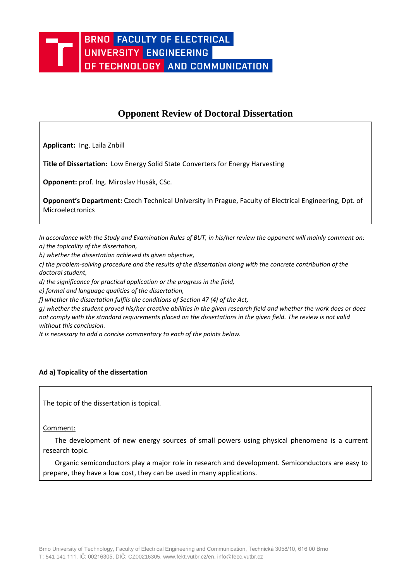# **Opponent Review of Doctoral Dissertation**

**Applicant:** Ing. Laila Znbill

**Title of Dissertation:** Low Energy Solid State Converters for Energy Harvesting

**Opponent:** prof. Ing. Miroslav Husák, CSc.

**Opponent's Department:** Czech Technical University in Prague, Faculty of Electrical Engineering, Dpt. of **Microelectronics** 

*In accordance with the Study and Examination Rules of BUT, in his/her review the opponent will mainly comment on: a) the topicality of the dissertation,* 

*b) whether the dissertation achieved its given objective,* 

*c) the problem-solving procedure and the results of the dissertation along with the concrete contribution of the doctoral student,* 

*d) the significance for practical application or the progress in the field,* 

*e) formal and language qualities of the dissertation,* 

*f) whether the dissertation fulfils the conditions of Section 47 (4) of the Act,* 

*g) whether the student proved his/her creative abilities in the given research field and whether the work does or does not comply with the standard requirements placed on the dissertations in the given field. The review is not valid without this conclusion.*

*It is necessary to add a concise commentary to each of the points below.*

#### **Ad a) Topicality of the dissertation**

The topic of the dissertation is topical.

Comment:

The development of new energy sources of small powers using physical phenomena is a current research topic.

Organic semiconductors play a major role in research and development. Semiconductors are easy to prepare, they have a low cost, they can be used in many applications.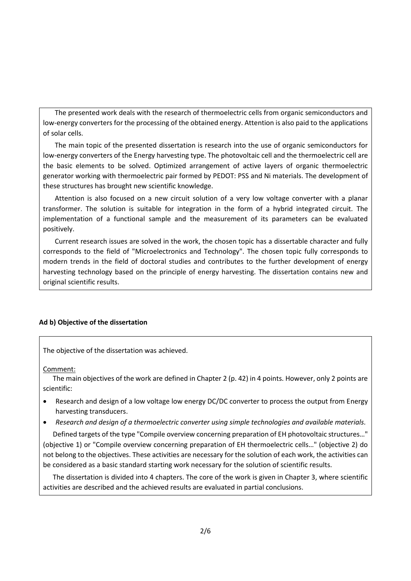The presented work deals with the research of thermoelectric cells from organic semiconductors and low-energy converters for the processing of the obtained energy. Attention is also paid to the applications of solar cells.

The main topic of the presented dissertation is research into the use of organic semiconductors for low-energy converters of the Energy harvesting type. The photovoltaic cell and the thermoelectric cell are the basic elements to be solved. Optimized arrangement of active layers of organic thermoelectric generator working with thermoelectric pair formed by PEDOT: PSS and Ni materials. The development of these structures has brought new scientific knowledge.

Attention is also focused on a new circuit solution of a very low voltage converter with a planar transformer. The solution is suitable for integration in the form of a hybrid integrated circuit. The implementation of a functional sample and the measurement of its parameters can be evaluated positively.

Current research issues are solved in the work, the chosen topic has a dissertable character and fully corresponds to the field of "Microelectronics and Technology". The chosen topic fully corresponds to modern trends in the field of doctoral studies and contributes to the further development of energy harvesting technology based on the principle of energy harvesting. The dissertation contains new and original scientific results.

#### **Ad b) Objective of the dissertation**

The objective of the dissertation was achieved.

Comment:

The main objectives of the work are defined in Chapter 2 (p. 42) in 4 points. However, only 2 points are scientific:

- Research and design of a low voltage low energy DC/DC converter to process the output from Energy harvesting transducers.
- *Research and design of a thermoelectric converter using simple technologies and available materials.*

Defined targets of the type "Compile overview concerning preparation of EH photovoltaic structures…" (objective 1) or "Compile overview concerning preparation of EH thermoelectric cells…" (objective 2) do not belong to the objectives. These activities are necessary for the solution of each work, the activities can be considered as a basic standard starting work necessary for the solution of scientific results.

The dissertation is divided into 4 chapters. The core of the work is given in Chapter 3, where scientific activities are described and the achieved results are evaluated in partial conclusions.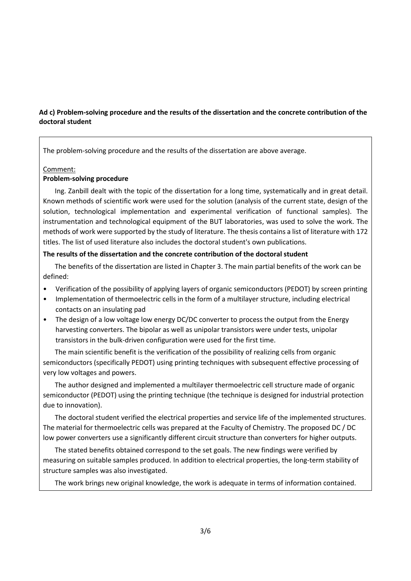## **Ad c) Problem-solving procedure and the results of the dissertation and the concrete contribution of the doctoral student**

The problem-solving procedure and the results of the dissertation are above average.

#### Comment:

# **Problem-solving procedure**

Ing. Zanbill dealt with the topic of the dissertation for a long time, systematically and in great detail. Known methods of scientific work were used for the solution (analysis of the current state, design of the solution, technological implementation and experimental verification of functional samples). The instrumentation and technological equipment of the BUT laboratories, was used to solve the work. The methods of work were supported by the study of literature. The thesis contains a list of literature with 172 titles. The list of used literature also includes the doctoral student's own publications.

#### **The results of the dissertation and the concrete contribution of the doctoral student**

The benefits of the dissertation are listed in Chapter 3. The main partial benefits of the work can be defined:

- Verification of the possibility of applying layers of organic semiconductors (PEDOT) by screen printing
- Implementation of thermoelectric cells in the form of a multilayer structure, including electrical contacts on an insulating pad
- The design of a low voltage low energy DC/DC converter to process the output from the Energy harvesting converters. The bipolar as well as unipolar transistors were under tests, unipolar transistors in the bulk-driven configuration were used for the first time.

The main scientific benefit is the verification of the possibility of realizing cells from organic semiconductors (specifically PEDOT) using printing techniques with subsequent effective processing of very low voltages and powers.

The author designed and implemented a multilayer thermoelectric cell structure made of organic semiconductor (PEDOT) using the printing technique (the technique is designed for industrial protection due to innovation).

The doctoral student verified the electrical properties and service life of the implemented structures. The material for thermoelectric cells was prepared at the Faculty of Chemistry. The proposed DC / DC low power converters use a significantly different circuit structure than converters for higher outputs.

The stated benefits obtained correspond to the set goals. The new findings were verified by measuring on suitable samples produced. In addition to electrical properties, the long-term stability of structure samples was also investigated.

The work brings new original knowledge, the work is adequate in terms of information contained.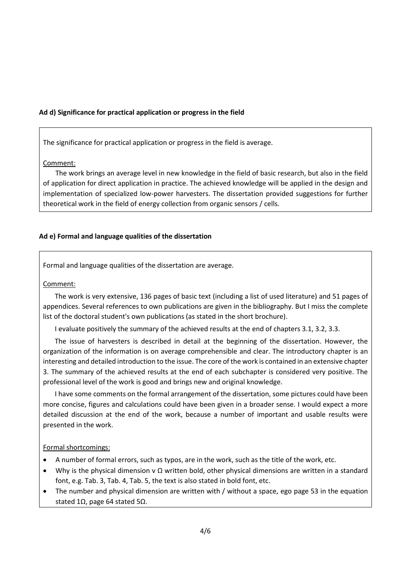#### **Ad d) Significance for practical application or progress in the field**

The significance for practical application or progress in the field is average.

## Comment:

The work brings an average level in new knowledge in the field of basic research, but also in the field of application for direct application in practice. The achieved knowledge will be applied in the design and implementation of specialized low-power harvesters. The dissertation provided suggestions for further theoretical work in the field of energy collection from organic sensors / cells.

## **Ad e) Formal and language qualities of the dissertation**

Formal and language qualities of the dissertation are average.

## Comment:

The work is very extensive, 136 pages of basic text (including a list of used literature) and 51 pages of appendices. Several references to own publications are given in the bibliography. But I miss the complete list of the doctoral student's own publications (as stated in the short brochure).

I evaluate positively the summary of the achieved results at the end of chapters 3.1, 3.2, 3.3.

The issue of harvesters is described in detail at the beginning of the dissertation. However, the organization of the information is on average comprehensible and clear. The introductory chapter is an interesting and detailed introduction to the issue. The core of the work is contained in an extensive chapter 3. The summary of the achieved results at the end of each subchapter is considered very positive. The professional level of the work is good and brings new and original knowledge.

I have some comments on the formal arrangement of the dissertation, some pictures could have been more concise, figures and calculations could have been given in a broader sense. I would expect a more detailed discussion at the end of the work, because a number of important and usable results were presented in the work.

# Formal shortcomings:

- A number of formal errors, such as typos, are in the work, such as the title of the work, etc.
- Why is the physical dimension v  $\Omega$  written bold, other physical dimensions are written in a standard font, e.g. Tab. 3, Tab. 4, Tab. 5, the text is also stated in bold font, etc.
- The number and physical dimension are written with / without a space, ego page 53 in the equation stated 1Ω, page 64 stated 5Ω.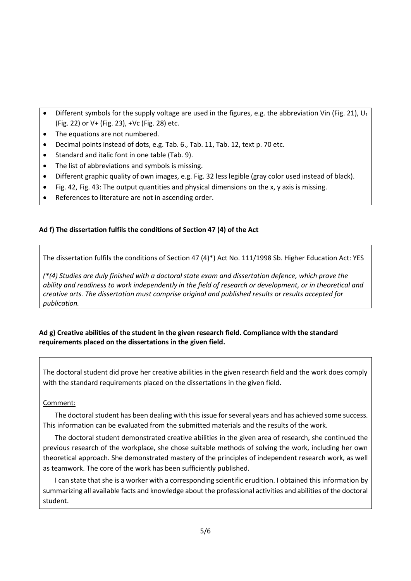- Different symbols for the supply voltage are used in the figures, e.g. the abbreviation Vin (Fig. 21),  $U_1$ (Fig. 22) or V+ (Fig. 23), +Vc (Fig. 28) etc.
- The equations are not numbered.
- Decimal points instead of dots, e.g. Tab. 6., Tab. 11, Tab. 12, text p. 70 etc.
- Standard and italic font in one table (Tab. 9).
- The list of abbreviations and symbols is missing.
- Different graphic quality of own images, e.g. Fig. 32 less legible (gray color used instead of black).
- Fig. 42, Fig. 43: The output quantities and physical dimensions on the x, y axis is missing.
- References to literature are not in ascending order.

# **Ad f) The dissertation fulfils the conditions of Section 47 (4) of the Act**

The dissertation fulfils the conditions of Section 47 (4)\*) Act No. 111/1998 Sb. Higher Education Act: YES

*(\*(4) Studies are duly finished with a doctoral state exam and dissertation defence, which prove the ability and readiness to work independently in the field of research or development, or in theoretical and creative arts. The dissertation must comprise original and published results or results accepted for publication.* 

# **Ad g) Creative abilities of the student in the given research field. Compliance with the standard requirements placed on the dissertations in the given field.**

The doctoral student did prove her creative abilities in the given research field and the work does comply with the standard requirements placed on the dissertations in the given field.

# Comment:

The doctoral student has been dealing with this issue for several years and has achieved some success. This information can be evaluated from the submitted materials and the results of the work.

The doctoral student demonstrated creative abilities in the given area of research, she continued the previous research of the workplace, she chose suitable methods of solving the work, including her own theoretical approach. She demonstrated mastery of the principles of independent research work, as well as teamwork. The core of the work has been sufficiently published.

I can state that she is a worker with a corresponding scientific erudition. I obtained this information by summarizing all available facts and knowledge about the professional activities and abilities of the doctoral student.